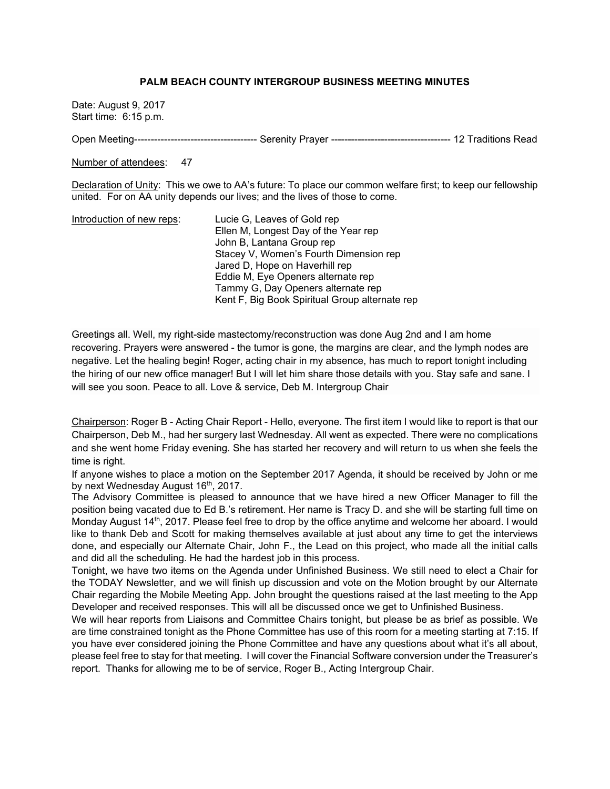## **PALM BEACH COUNTY INTERGROUP BUSINESS MEETING MINUTES**

Date: August 9, 2017 Start time: 6:15 p.m.

Open Meeting------------------------------------- Serenity Prayer ------------------------------------ 12 Traditions Read

Number of attendees: 47

Declaration of Unity: This we owe to AA's future: To place our common welfare first; to keep our fellowship united. For on AA unity depends our lives; and the lives of those to come.

| Introduction of new reps: | Lucie G, Leaves of Gold rep                    |
|---------------------------|------------------------------------------------|
|                           | Ellen M, Longest Day of the Year rep           |
|                           | John B, Lantana Group rep                      |
|                           | Stacey V, Women's Fourth Dimension rep         |
|                           | Jared D, Hope on Haverhill rep                 |
|                           | Eddie M, Eye Openers alternate rep             |
|                           | Tammy G, Day Openers alternate rep             |
|                           | Kent F, Big Book Spiritual Group alternate rep |

Greetings all. Well, my right-side mastectomy/reconstruction was done Aug 2nd and I am home recovering. Prayers were answered - the tumor is gone, the margins are clear, and the lymph nodes are negative. Let the healing begin! Roger, acting chair in my absence, has much to report tonight including the hiring of our new office manager! But I will let him share those details with you. Stay safe and sane. I will see you soon. Peace to all. Love & service, Deb M. Intergroup Chair

Chairperson: Roger B - Acting Chair Report - Hello, everyone. The first item I would like to report is that our Chairperson, Deb M., had her surgery last Wednesday. All went as expected. There were no complications and she went home Friday evening. She has started her recovery and will return to us when she feels the time is right.

If anyone wishes to place a motion on the September 2017 Agenda, it should be received by John or me by next Wednesday August 16<sup>th</sup>, 2017.

The Advisory Committee is pleased to announce that we have hired a new Officer Manager to fill the position being vacated due to Ed B.'s retirement. Her name is Tracy D. and she will be starting full time on Monday August 14<sup>th</sup>, 2017. Please feel free to drop by the office anytime and welcome her aboard. I would like to thank Deb and Scott for making themselves available at just about any time to get the interviews done, and especially our Alternate Chair, John F., the Lead on this project, who made all the initial calls and did all the scheduling. He had the hardest job in this process.

Tonight, we have two items on the Agenda under Unfinished Business. We still need to elect a Chair for the TODAY Newsletter, and we will finish up discussion and vote on the Motion brought by our Alternate Chair regarding the Mobile Meeting App. John brought the questions raised at the last meeting to the App Developer and received responses. This will all be discussed once we get to Unfinished Business.

We will hear reports from Liaisons and Committee Chairs tonight, but please be as brief as possible. We are time constrained tonight as the Phone Committee has use of this room for a meeting starting at 7:15. If you have ever considered joining the Phone Committee and have any questions about what it's all about, please feel free to stay for that meeting. I will cover the Financial Software conversion under the Treasurer's report. Thanks for allowing me to be of service, Roger B., Acting Intergroup Chair.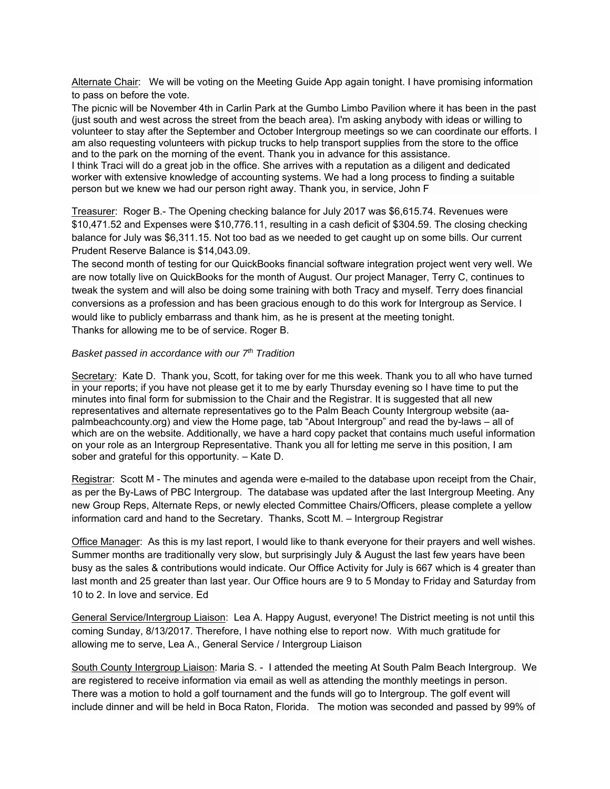Alternate Chair: We will be voting on the Meeting Guide App again tonight. I have promising information to pass on before the vote.

The picnic will be November 4th in Carlin Park at the Gumbo Limbo Pavilion where it has been in the past (just south and west across the street from the beach area). I'm asking anybody with ideas or willing to volunteer to stay after the September and October Intergroup meetings so we can coordinate our efforts. I am also requesting volunteers with pickup trucks to help transport supplies from the store to the office and to the park on the morning of the event. Thank you in advance for this assistance. I think Traci will do a great job in the office. She arrives with a reputation as a diligent and dedicated worker with extensive knowledge of accounting systems. We had a long process to finding a suitable person but we knew we had our person right away. Thank you, in service, John F

Treasurer: Roger B.- The Opening checking balance for July 2017 was \$6,615.74. Revenues were \$10,471.52 and Expenses were \$10,776.11, resulting in a cash deficit of \$304.59. The closing checking balance for July was \$6,311.15. Not too bad as we needed to get caught up on some bills. Our current Prudent Reserve Balance is \$14,043.09.

The second month of testing for our QuickBooks financial software integration project went very well. We are now totally live on QuickBooks for the month of August. Our project Manager, Terry C, continues to tweak the system and will also be doing some training with both Tracy and myself. Terry does financial conversions as a profession and has been gracious enough to do this work for Intergroup as Service. I would like to publicly embarrass and thank him, as he is present at the meeting tonight. Thanks for allowing me to be of service. Roger B.

#### *Basket passed in accordance with our 7th Tradition*

Secretary: Kate D. Thank you, Scott, for taking over for me this week. Thank you to all who have turned in your reports; if you have not please get it to me by early Thursday evening so I have time to put the minutes into final form for submission to the Chair and the Registrar. It is suggested that all new representatives and alternate representatives go to the Palm Beach County Intergroup website (aapalmbeachcounty.org) and view the Home page, tab "About Intergroup" and read the by-laws – all of which are on the website. Additionally, we have a hard copy packet that contains much useful information on your role as an Intergroup Representative. Thank you all for letting me serve in this position, I am sober and grateful for this opportunity. – Kate D.

Registrar: Scott M - The minutes and agenda were e-mailed to the database upon receipt from the Chair, as per the By-Laws of PBC Intergroup. The database was updated after the last Intergroup Meeting. Any new Group Reps, Alternate Reps, or newly elected Committee Chairs/Officers, please complete a yellow information card and hand to the Secretary. Thanks, Scott M. – Intergroup Registrar

Office Manager: As this is my last report, I would like to thank everyone for their prayers and well wishes. Summer months are traditionally very slow, but surprisingly July & August the last few years have been busy as the sales & contributions would indicate. Our Office Activity for July is 667 which is 4 greater than last month and 25 greater than last year. Our Office hours are 9 to 5 Monday to Friday and Saturday from 10 to 2. In love and service. Ed

General Service/Intergroup Liaison: Lea A. Happy August, everyone! The District meeting is not until this coming Sunday, 8/13/2017. Therefore, I have nothing else to report now. With much gratitude for allowing me to serve, Lea A., General Service / Intergroup Liaison

South County Intergroup Liaison: Maria S. - I attended the meeting At South Palm Beach Intergroup. We are registered to receive information via email as well as attending the monthly meetings in person. There was a motion to hold a golf tournament and the funds will go to Intergroup. The golf event will include dinner and will be held in Boca Raton, Florida. The motion was seconded and passed by 99% of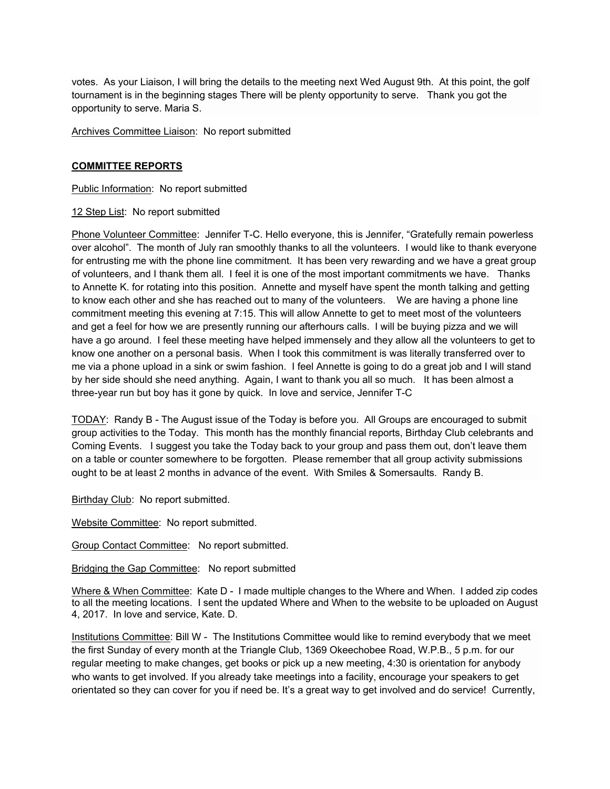votes. As your Liaison, I will bring the details to the meeting next Wed August 9th. At this point, the golf tournament is in the beginning stages There will be plenty opportunity to serve. Thank you got the opportunity to serve. Maria S.

Archives Committee Liaison: No report submitted

## **COMMITTEE REPORTS**

Public Information: No report submitted

## 12 Step List: No report submitted

Phone Volunteer Committee: Jennifer T-C. Hello everyone, this is Jennifer, "Gratefully remain powerless over alcohol". The month of July ran smoothly thanks to all the volunteers. I would like to thank everyone for entrusting me with the phone line commitment. It has been very rewarding and we have a great group of volunteers, and I thank them all. I feel it is one of the most important commitments we have. Thanks to Annette K. for rotating into this position. Annette and myself have spent the month talking and getting to know each other and she has reached out to many of the volunteers. We are having a phone line commitment meeting this evening at 7:15. This will allow Annette to get to meet most of the volunteers and get a feel for how we are presently running our afterhours calls. I will be buying pizza and we will have a go around. I feel these meeting have helped immensely and they allow all the volunteers to get to know one another on a personal basis. When I took this commitment is was literally transferred over to me via a phone upload in a sink or swim fashion. I feel Annette is going to do a great job and I will stand by her side should she need anything. Again, I want to thank you all so much. It has been almost a three-year run but boy has it gone by quick. In love and service, Jennifer T-C

TODAY: Randy B - The August issue of the Today is before you. All Groups are encouraged to submit group activities to the Today. This month has the monthly financial reports, Birthday Club celebrants and Coming Events. I suggest you take the Today back to your group and pass them out, don't leave them on a table or counter somewhere to be forgotten. Please remember that all group activity submissions ought to be at least 2 months in advance of the event. With Smiles & Somersaults. Randy B.

Birthday Club: No report submitted.

Website Committee: No report submitted.

Group Contact Committee: No report submitted.

Bridging the Gap Committee: No report submitted

Where & When Committee: Kate D - I made multiple changes to the Where and When. I added zip codes to all the meeting locations. I sent the updated Where and When to the website to be uploaded on August 4, 2017. In love and service, Kate. D.

Institutions Committee: Bill W - The Institutions Committee would like to remind everybody that we meet the first Sunday of every month at the Triangle Club, 1369 Okeechobee Road, W.P.B., 5 p.m. for our regular meeting to make changes, get books or pick up a new meeting, 4:30 is orientation for anybody who wants to get involved. If you already take meetings into a facility, encourage your speakers to get orientated so they can cover for you if need be. It's a great way to get involved and do service! Currently,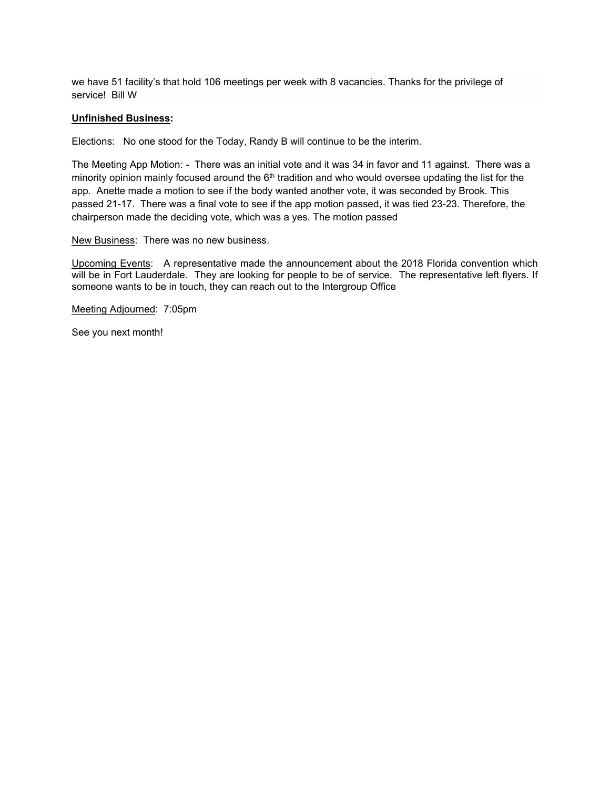we have 51 facility's that hold 106 meetings per week with 8 vacancies. Thanks for the privilege of service! Bill W

#### **Unfinished Business:**

Elections: No one stood for the Today, Randy B will continue to be the interim.

The Meeting App Motion: - There was an initial vote and it was 34 in favor and 11 against. There was a minority opinion mainly focused around the  $6<sup>th</sup>$  tradition and who would oversee updating the list for the app. Anette made a motion to see if the body wanted another vote, it was seconded by Brook. This passed 21-17. There was a final vote to see if the app motion passed, it was tied 23-23. Therefore, the chairperson made the deciding vote, which was a yes. The motion passed

New Business: There was no new business.

Upcoming Events: A representative made the announcement about the 2018 Florida convention which will be in Fort Lauderdale. They are looking for people to be of service. The representative left flyers. If someone wants to be in touch, they can reach out to the Intergroup Office

Meeting Adjourned: 7:05pm

See you next month!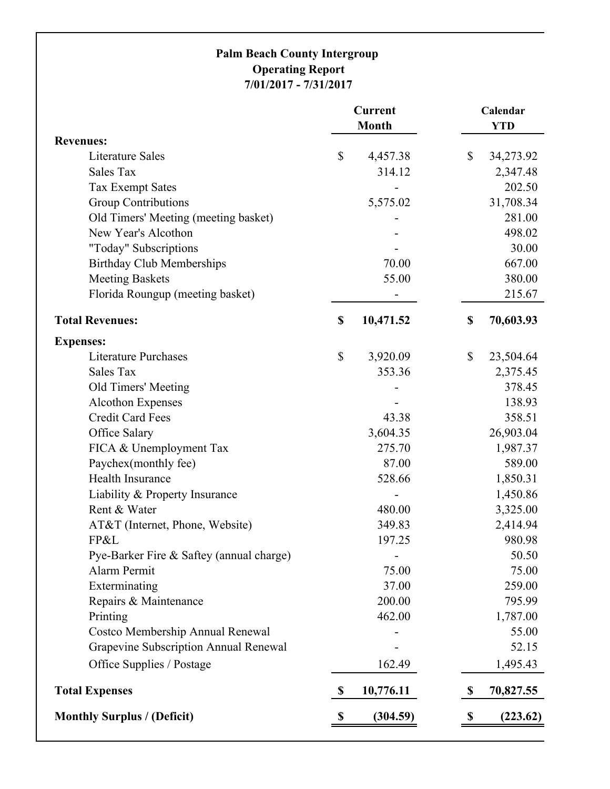# **Palm Beach County Intergroup Operating Report 7/01/2017 - 7/31/2017**

|                                          | <b>Current</b><br><b>Month</b> |           | Calendar<br><b>YTD</b> |           |
|------------------------------------------|--------------------------------|-----------|------------------------|-----------|
| <b>Revenues:</b>                         |                                |           |                        |           |
| Literature Sales                         | \$                             | 4,457.38  | \$                     | 34,273.92 |
| <b>Sales Tax</b>                         |                                | 314.12    |                        | 2,347.48  |
| <b>Tax Exempt Sates</b>                  |                                |           |                        | 202.50    |
| <b>Group Contributions</b>               |                                | 5,575.02  |                        | 31,708.34 |
| Old Timers' Meeting (meeting basket)     |                                |           |                        | 281.00    |
| New Year's Alcothon                      |                                |           |                        | 498.02    |
| "Today" Subscriptions                    |                                |           |                        | 30.00     |
| <b>Birthday Club Memberships</b>         |                                | 70.00     |                        | 667.00    |
| <b>Meeting Baskets</b>                   |                                | 55.00     |                        | 380.00    |
| Florida Roungup (meeting basket)         |                                |           |                        | 215.67    |
| <b>Total Revenues:</b>                   | \$                             | 10,471.52 | \$                     | 70,603.93 |
| <b>Expenses:</b>                         |                                |           |                        |           |
| <b>Literature Purchases</b>              | \$                             | 3,920.09  | \$                     | 23,504.64 |
| <b>Sales Tax</b>                         |                                | 353.36    |                        | 2,375.45  |
| Old Timers' Meeting                      |                                |           |                        | 378.45    |
| <b>Alcothon Expenses</b>                 |                                |           |                        | 138.93    |
| <b>Credit Card Fees</b>                  |                                | 43.38     |                        | 358.51    |
| Office Salary                            |                                | 3,604.35  |                        | 26,903.04 |
| FICA & Unemployment Tax                  |                                | 275.70    |                        | 1,987.37  |
| Paychex(monthly fee)                     |                                | 87.00     |                        | 589.00    |
| Health Insurance                         |                                | 528.66    |                        | 1,850.31  |
| Liability & Property Insurance           |                                |           |                        | 1,450.86  |
| Rent & Water                             |                                | 480.00    |                        | 3,325.00  |
| AT&T (Internet, Phone, Website)          |                                | 349.83    |                        | 2,414.94  |
| FP&L                                     |                                | 197.25    |                        | 980.98    |
| Pye-Barker Fire & Saftey (annual charge) |                                | ۰         |                        | 50.50     |
| Alarm Permit                             |                                | 75.00     |                        | 75.00     |
| Exterminating                            |                                | 37.00     |                        | 259.00    |
| Repairs & Maintenance                    |                                | 200.00    |                        | 795.99    |
| Printing                                 |                                | 462.00    |                        | 1,787.00  |
| Costco Membership Annual Renewal         |                                |           |                        | 55.00     |
| Grapevine Subscription Annual Renewal    |                                |           |                        | 52.15     |
| Office Supplies / Postage                |                                | 162.49    |                        | 1,495.43  |
| <b>Total Expenses</b>                    | $\boldsymbol{\mathsf{S}}$      | 10,776.11 | \$                     | 70,827.55 |
| <b>Monthly Surplus / (Deficit)</b>       | \$                             | (304.59)  | \$                     | (223.62)  |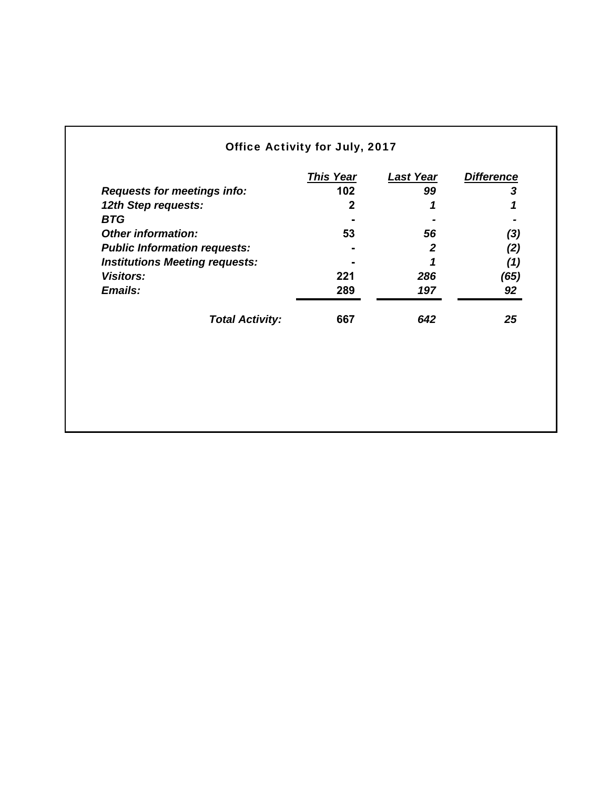# Office Activity for July, 2017

| <b>This Year</b>              | <b>Last Year</b> | <b>Difference</b> |
|-------------------------------|------------------|-------------------|
| 102                           | 99               | 3                 |
| 2                             | 1                |                   |
|                               |                  |                   |
| 53                            | 56               | (3)               |
|                               | 2                | (2)               |
|                               |                  | (1)               |
| 221                           | 286              | (65)              |
| 289                           | 197              | 92                |
| <b>Total Activity:</b><br>667 | 642              | 25                |
|                               |                  |                   |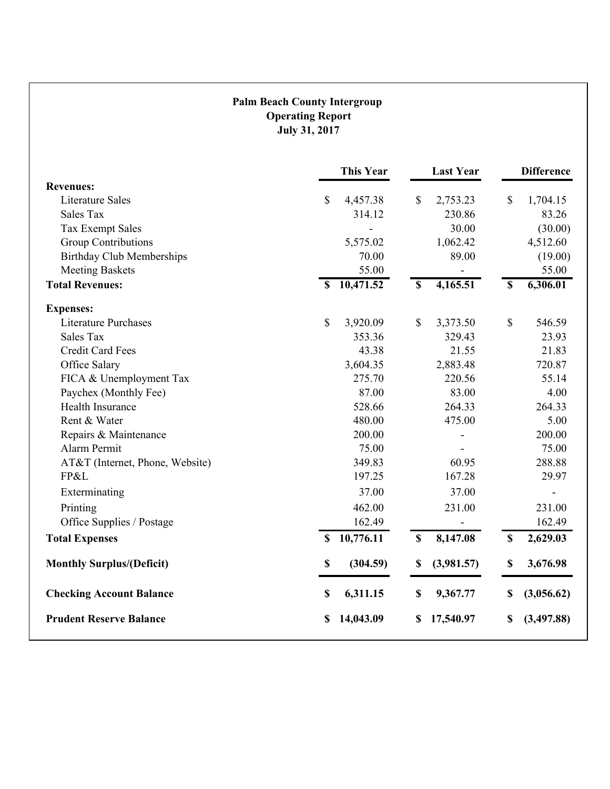# **Palm Beach County Intergroup Operating Report July 31, 2017**

|                                  | <b>This Year</b>                     | <b>Last Year</b>                      | <b>Difference</b>                     |
|----------------------------------|--------------------------------------|---------------------------------------|---------------------------------------|
| <b>Revenues:</b>                 |                                      |                                       |                                       |
| <b>Literature Sales</b>          | \$<br>4,457.38                       | \$<br>2,753.23                        | \$<br>1,704.15                        |
| <b>Sales Tax</b>                 | 314.12                               | 230.86                                | 83.26                                 |
| <b>Tax Exempt Sales</b>          |                                      | 30.00                                 | (30.00)                               |
| <b>Group Contributions</b>       | 5,575.02                             | 1,062.42                              | 4,512.60                              |
| <b>Birthday Club Memberships</b> | 70.00                                | 89.00                                 | (19.00)                               |
| <b>Meeting Baskets</b>           | 55.00                                |                                       | 55.00                                 |
| <b>Total Revenues:</b>           | 10,471.52<br>$\overline{\mathbf{s}}$ | 4,165.51<br>$\overline{\mathbf{s}}$   | 6,306.01<br>$\overline{\mathbf{s}}$   |
| <b>Expenses:</b>                 |                                      |                                       |                                       |
| <b>Literature Purchases</b>      | \$<br>3,920.09                       | \$<br>3,373.50                        | $\mathbb{S}$<br>546.59                |
| Sales Tax                        | 353.36                               | 329.43                                | 23.93                                 |
| <b>Credit Card Fees</b>          | 43.38                                | 21.55                                 | 21.83                                 |
| Office Salary                    | 3,604.35                             | 2,883.48                              | 720.87                                |
| FICA & Unemployment Tax          | 275.70                               | 220.56                                | 55.14                                 |
| Paychex (Monthly Fee)            | 87.00                                | 83.00                                 | 4.00                                  |
| Health Insurance                 | 528.66                               | 264.33                                | 264.33                                |
| Rent & Water                     | 480.00                               | 475.00                                | 5.00                                  |
| Repairs & Maintenance            | 200.00                               |                                       | 200.00                                |
| Alarm Permit                     | 75.00                                |                                       | 75.00                                 |
| AT&T (Internet, Phone, Website)  | 349.83                               | 60.95                                 | 288.88                                |
| FP&L                             | 197.25                               | 167.28                                | 29.97                                 |
| Exterminating                    | 37.00                                | 37.00                                 |                                       |
| Printing                         | 462.00                               | 231.00                                | 231.00                                |
| Office Supplies / Postage        | 162.49                               |                                       | 162.49                                |
| <b>Total Expenses</b>            | 10,776.11<br>$\mathbf S$             | $\boldsymbol{\mathsf{S}}$<br>8,147.08 | 2,629.03<br>$\boldsymbol{\mathsf{S}}$ |
| <b>Monthly Surplus/(Deficit)</b> | (304.59)<br>\$                       | (3,981.57)<br>\$                      | 3,676.98<br>\$                        |
| <b>Checking Account Balance</b>  | 6,311.15<br>\$                       | \$<br>9,367.77                        | \$<br>(3,056.62)                      |
| <b>Prudent Reserve Balance</b>   | 14,043.09<br>\$                      | 17,540.97<br>\$                       | (3, 497.88)<br>\$                     |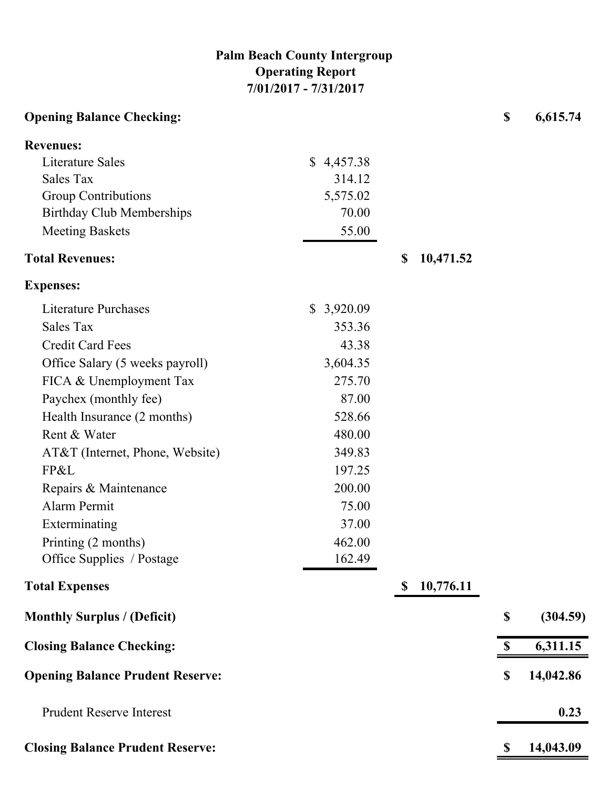# **Palm Beach County Intergroup Operating Report 7/01/2017 - 7/31/2017**

| <b>Opening Balance Checking:</b>        |                          |             |           | $\boldsymbol{\mathsf{S}}$ | 6,615.74  |
|-----------------------------------------|--------------------------|-------------|-----------|---------------------------|-----------|
| <b>Revenues:</b>                        |                          |             |           |                           |           |
| <b>Literature Sales</b>                 | \$4,457.38               |             |           |                           |           |
| <b>Sales Tax</b>                        | 314.12                   |             |           |                           |           |
| <b>Group Contributions</b>              | 5,575.02                 |             |           |                           |           |
| <b>Birthday Club Memberships</b>        | 70.00                    |             |           |                           |           |
| <b>Meeting Baskets</b>                  | 55.00                    |             |           |                           |           |
| <b>Total Revenues:</b>                  |                          | \$          | 10,471.52 |                           |           |
| <b>Expenses:</b>                        |                          |             |           |                           |           |
| <b>Literature Purchases</b>             | 3,920.09<br>$\mathbb{S}$ |             |           |                           |           |
| Sales Tax                               | 353.36                   |             |           |                           |           |
| <b>Credit Card Fees</b>                 | 43.38                    |             |           |                           |           |
| Office Salary (5 weeks payroll)         | 3,604.35                 |             |           |                           |           |
| FICA & Unemployment Tax                 | 275.70                   |             |           |                           |           |
| Paychex (monthly fee)                   | 87.00                    |             |           |                           |           |
| Health Insurance (2 months)             | 528.66                   |             |           |                           |           |
| Rent & Water                            | 480.00                   |             |           |                           |           |
| AT&T (Internet, Phone, Website)         | 349.83                   |             |           |                           |           |
| FP&L                                    | 197.25                   |             |           |                           |           |
| Repairs & Maintenance                   | 200.00                   |             |           |                           |           |
| Alarm Permit                            | 75.00                    |             |           |                           |           |
| Exterminating                           | 37.00                    |             |           |                           |           |
| Printing (2 months)                     | 462.00                   |             |           |                           |           |
| Office Supplies / Postage               | 162.49                   |             |           |                           |           |
| <b>Total Expenses</b>                   |                          | $\mathbf S$ | 10,776.11 |                           |           |
| <b>Monthly Surplus / (Deficit)</b>      |                          |             |           | $\boldsymbol{\mathsf{S}}$ | (304.59)  |
| <b>Closing Balance Checking:</b>        |                          |             |           | S                         | 6,311.15  |
| <b>Opening Balance Prudent Reserve:</b> |                          |             |           | $\boldsymbol{\mathsf{S}}$ | 14,042.86 |
| <b>Prudent Reserve Interest</b>         |                          |             |           |                           | 0.23      |
| <b>Closing Balance Prudent Reserve:</b> |                          |             |           | \$                        | 14,043.09 |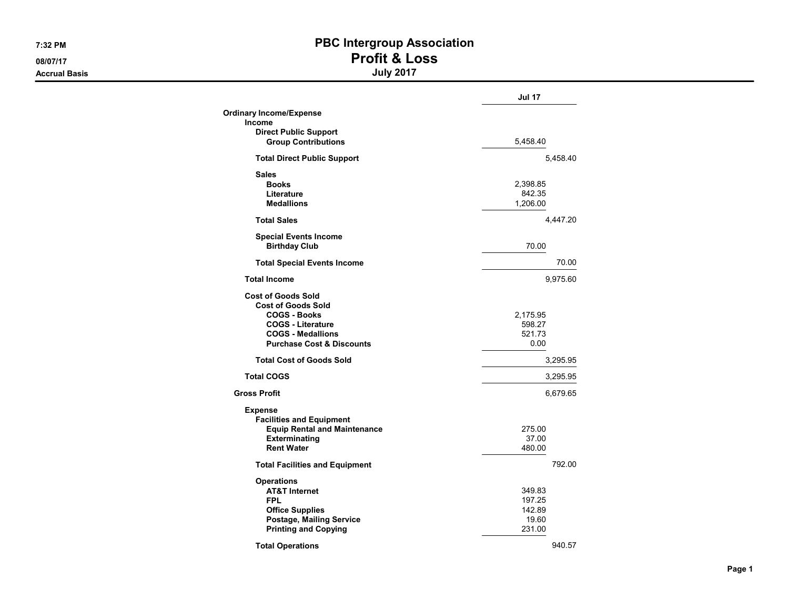#### **Accrual Basis**

# 7:32 PM PBC Intergroup Association 08/07/17 Profit & Loss

|                                                            | Jul 17   |  |  |
|------------------------------------------------------------|----------|--|--|
| <b>Ordinary Income/Expense</b>                             |          |  |  |
| <b>Income</b>                                              |          |  |  |
| <b>Direct Public Support</b><br><b>Group Contributions</b> | 5,458.40 |  |  |
| <b>Total Direct Public Support</b>                         | 5,458.40 |  |  |
| <b>Sales</b>                                               |          |  |  |
| <b>Books</b>                                               | 2,398.85 |  |  |
| Literature                                                 | 842.35   |  |  |
| <b>Medallions</b>                                          | 1,206.00 |  |  |
| <b>Total Sales</b>                                         | 4,447.20 |  |  |
| <b>Special Events Income</b>                               |          |  |  |
| <b>Birthday Club</b>                                       | 70.00    |  |  |
| <b>Total Special Events Income</b>                         | 70.00    |  |  |
| <b>Total Income</b>                                        | 9,975.60 |  |  |
| <b>Cost of Goods Sold</b>                                  |          |  |  |
| <b>Cost of Goods Sold</b>                                  |          |  |  |
| <b>COGS - Books</b>                                        | 2,175.95 |  |  |
| <b>COGS - Literature</b>                                   | 598.27   |  |  |
| <b>COGS - Medallions</b>                                   | 521.73   |  |  |
| <b>Purchase Cost &amp; Discounts</b>                       | 0.00     |  |  |
| <b>Total Cost of Goods Sold</b>                            | 3,295.95 |  |  |
| <b>Total COGS</b>                                          | 3,295.95 |  |  |
| <b>Gross Profit</b>                                        | 6,679.65 |  |  |
|                                                            |          |  |  |
| <b>Expense</b><br><b>Facilities and Equipment</b>          |          |  |  |
| <b>Equip Rental and Maintenance</b>                        | 275.00   |  |  |
| <b>Exterminating</b>                                       | 37.00    |  |  |
| <b>Rent Water</b>                                          | 480.00   |  |  |
| <b>Total Facilities and Equipment</b>                      | 792.00   |  |  |
| <b>Operations</b>                                          |          |  |  |
| <b>AT&amp;T Internet</b>                                   | 349.83   |  |  |
| <b>FPL</b>                                                 | 197.25   |  |  |
| <b>Office Supplies</b>                                     | 142.89   |  |  |
| Postage, Mailing Service                                   | 19.60    |  |  |
| <b>Printing and Copying</b>                                | 231.00   |  |  |
| <b>Total Operations</b>                                    | 940.57   |  |  |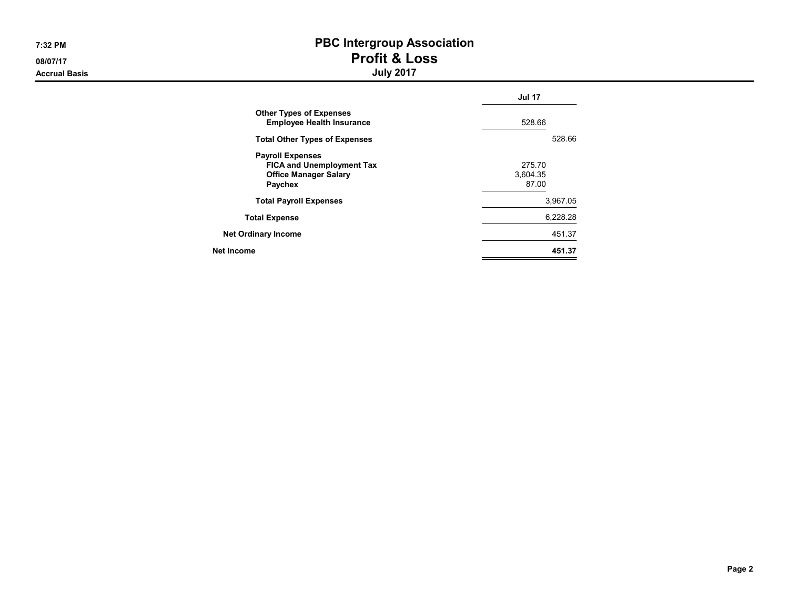**Accrual Basis** 

# 7:32 PM PBC Intergroup Association 08/07/17 Profit & Loss

|                                                                                                               | <b>Jul 17</b>               |
|---------------------------------------------------------------------------------------------------------------|-----------------------------|
| <b>Other Types of Expenses</b><br><b>Employee Health Insurance</b>                                            | 528.66                      |
| <b>Total Other Types of Expenses</b>                                                                          | 528.66                      |
| <b>Payroll Expenses</b><br><b>FICA and Unemployment Tax</b><br><b>Office Manager Salary</b><br><b>Paychex</b> | 275.70<br>3.604.35<br>87.00 |
| <b>Total Payroll Expenses</b>                                                                                 | 3,967.05                    |
| <b>Total Expense</b>                                                                                          | 6.228.28                    |
| <b>Net Ordinary Income</b>                                                                                    | 451.37                      |
| Net Income                                                                                                    | 451.37                      |
|                                                                                                               |                             |